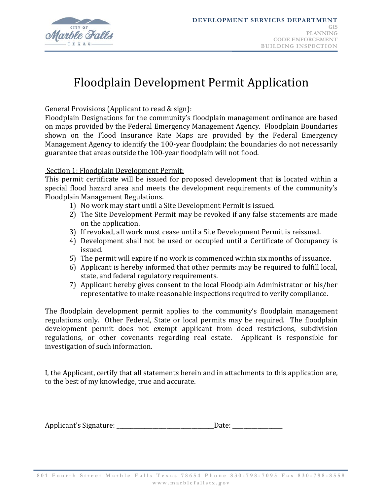

# Floodplain Development Permit Application

General Provisions (Applicant to read & sign):

Floodplain Designations for the community's floodplain management ordinance are based on maps provided by the Federal Emergency Management Agency. Floodplain Boundaries shown on the Flood Insurance Rate Maps are provided by the Federal Emergency Management Agency to identify the 100-year floodplain; the boundaries do not necessarily guarantee that areas outside the 100-year floodplain will not flood.

# Section 1: Floodplain Development Permit:

This permit certificate will be issued for proposed development that **is** located within a special flood hazard area and meets the development requirements of the community's Floodplain Management Regulations.

- 1) No work may start until a Site Development Permit is issued.
- 2) The Site Development Permit may be revoked if any false statements are made on the application.
- 3) If revoked, all work must cease until a Site Development Permit is reissued.
- 4) Development shall not be used or occupied until a Certificate of Occupancy is issued.
- 5) The permit will expire if no work is commenced within six months of issuance.
- 6) Applicant is hereby informed that other permits may be required to fulfill local, state, and federal regulatory requirements.
- 7) Applicant hereby gives consent to the local Floodplain Administrator or his/her representative to make reasonable inspections required to verify compliance.

The floodplain development permit applies to the community's floodplain management regulations only. Other Federal, State or local permits may be required. The floodplain development permit does not exempt applicant from deed restrictions, subdivision regulations, or other covenants regarding real estate. Applicant is responsible for investigation of such information.

I, the Applicant, certify that all statements herein and in attachments to this application are, to the best of my knowledge, true and accurate.

| Applicant's Signature: | Date. |
|------------------------|-------|
|------------------------|-------|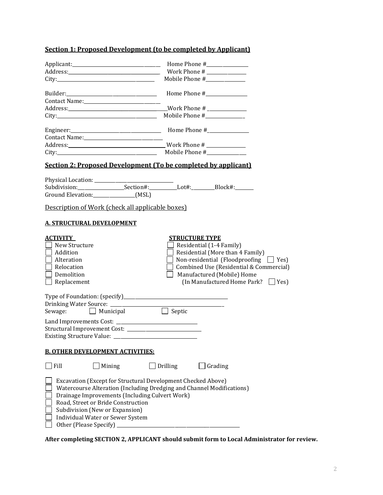# **Section 1: Proposed Development (to be completed by Applicant)**

|                                                                                                                                                                                                                                                                                                                               | Mobile Phone #_______________                                                                                                                                                                                                                                  |
|-------------------------------------------------------------------------------------------------------------------------------------------------------------------------------------------------------------------------------------------------------------------------------------------------------------------------------|----------------------------------------------------------------------------------------------------------------------------------------------------------------------------------------------------------------------------------------------------------------|
|                                                                                                                                                                                                                                                                                                                               |                                                                                                                                                                                                                                                                |
|                                                                                                                                                                                                                                                                                                                               |                                                                                                                                                                                                                                                                |
| <b>Section 2: Proposed Development (To be completed by applicant)</b>                                                                                                                                                                                                                                                         |                                                                                                                                                                                                                                                                |
| Ground Elevation:_______________(MSL)<br>Description of Work (check all applicable boxes)                                                                                                                                                                                                                                     |                                                                                                                                                                                                                                                                |
| <b>A. STRUCTURAL DEVELOPMENT</b>                                                                                                                                                                                                                                                                                              |                                                                                                                                                                                                                                                                |
| <b>ACTIVITY</b><br>New Structure<br>Addition<br>Alteration<br>Relocation<br>Demolition<br>$\Box$ Replacement                                                                                                                                                                                                                  | <b>STRUCTURE TYPE</b><br>Residential (1-4 Family)<br>Residential (More than 4 Family)<br>$\Box$ Non-residential (Floodproofing $\Box$ Yes)<br>Combined Use (Residential & Commercial)<br>Manufactured (Mobile) Home<br>(In Manufactured Home Park? $\Box$ Yes) |
| Sewage: Municipal<br><b>Existing Structure Value:</b>                                                                                                                                                                                                                                                                         | $\overline{\Box}$ Septic                                                                                                                                                                                                                                       |
| <b>B. OTHER DEVELOPMENT ACTIVITIES:</b>                                                                                                                                                                                                                                                                                       |                                                                                                                                                                                                                                                                |
| Fill<br>Mining                                                                                                                                                                                                                                                                                                                | Drilling<br>Grading                                                                                                                                                                                                                                            |
| Excavation (Except for Structural Development Checked Above)<br>Watercourse Alteration (Including Dredging and Channel Modifications)<br>Drainage Improvements (Including Culvert Work)<br>Road, Street or Bride Construction<br>Subdivision (New or Expansion)<br>Individual Water or Sewer System<br>Other (Please Specify) |                                                                                                                                                                                                                                                                |

**After completing SECTION 2, APPLICANT should submit form to Local Administrator for review.**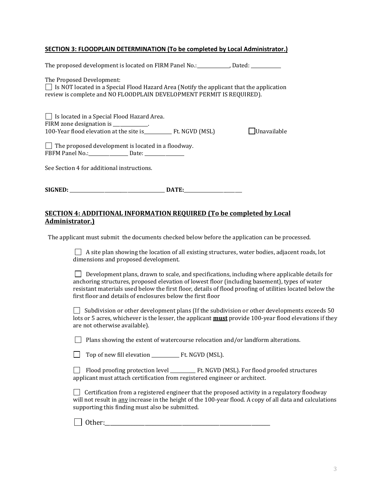#### **SECTION 3: FLOODPLAIN DETERMINATION (To be completed by Local Administrator.)**

| The proposed development is located on FIRM Panel No.:___________, Dated: __________                                                                                                                  |             |
|-------------------------------------------------------------------------------------------------------------------------------------------------------------------------------------------------------|-------------|
| The Proposed Development:<br>$\Box$ Is NOT located in a Special Flood Hazard Area (Notify the applicant that the application<br>review is complete and NO FLOODPLAIN DEVELOPMENT PERMIT IS REQUIRED). |             |
| Is located in a Special Flood Hazard Area.<br>FIRM zone designation is _____________.                                                                                                                 | Unavailable |
| $\Box$ The proposed development is located in a floodway.                                                                                                                                             |             |
| FBFM Panel No.: Date:                                                                                                                                                                                 |             |
| See Section 4 for additional instructions.                                                                                                                                                            |             |
|                                                                                                                                                                                                       |             |

## **SECTION 4: ADDITIONAL INFORMATION REQUIRED (To be completed by Local Administrator.)**

The applicant must submit the documents checked below before the application can be processed.

 $\Box$  A site plan showing the location of all existing structures, water bodies, adjacent roads, lot dimensions and proposed development.

Development plans, drawn to scale, and specifications, including where applicable details for anchoring structures, proposed elevation of lowest floor (including basement), types of water resistant materials used below the first floor, details of flood proofing of utilities located below the first floor and details of enclosures below the first floor

 $\Box$  Subdivision or other development plans (If the subdivision or other developments exceeds 50 lots or 5 acres, whichever is the lesser, the applicant **must** provide 100-year flood elevations if they are not otherwise available).

 $\Box$  Plans showing the extent of watercourse relocation and/or landform alterations.

| $\Box$ Top of new fill elevation | Ft. NGVD (MSL). |  |
|----------------------------------|-----------------|--|
|----------------------------------|-----------------|--|

 Flood proofing protection level \_\_\_\_\_\_\_\_\_\_\_ Ft. NGVD (MSL). For flood proofed structures applicant must attach certification from registered engineer or architect.

 $\Box$  Certification from a registered engineer that the proposed activity in a regulatory floodway will not result in any increase in the height of the 100-year flood. A copy of all data and calculations supporting this finding must also be submitted.

Other:\_\_\_\_\_\_\_\_\_\_\_\_\_\_\_\_\_\_\_\_\_\_\_\_\_\_\_\_\_\_\_\_\_\_\_\_\_\_\_\_\_\_\_\_\_\_\_\_\_\_\_\_\_\_\_\_\_\_\_\_\_\_